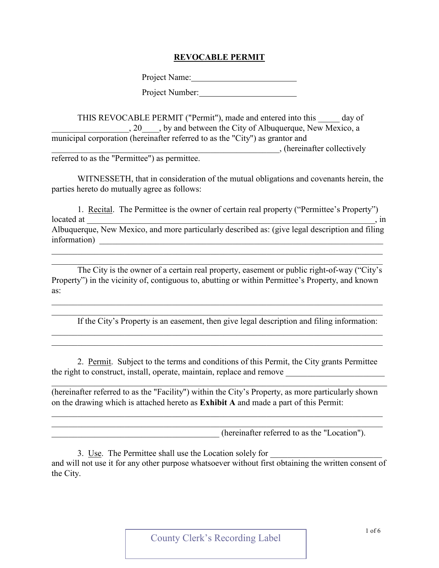## REVOCABLE PERMIT

Project Name: 1988

Project Number:

THIS REVOCABLE PERMIT ("Permit"), made and entered into this \_\_\_\_\_ day of \_\_\_\_\_\_\_\_\_\_\_\_\_\_\_\_\_\_, 20\_\_\_\_, by and between the City of Albuquerque, New Mexico, a municipal corporation (hereinafter referred to as the "City") as grantor and \_\_\_\_\_\_\_\_\_\_\_\_\_\_\_\_\_\_\_\_\_\_\_\_\_\_\_\_\_\_\_\_\_\_\_\_\_\_\_\_\_\_\_\_\_\_\_\_\_\_\_\_\_, (hereinafter collectively referred to as the "Permittee") as permittee.

WITNESSETH, that in consideration of the mutual obligations and covenants herein, the parties hereto do mutually agree as follows:

1. Recital. The Permittee is the owner of certain real property ("Permittee's Property") located at \_\_\_\_\_\_\_\_\_\_\_\_\_\_\_\_\_\_\_\_\_\_\_\_\_\_\_\_\_\_\_\_\_\_\_\_\_\_\_\_\_\_\_\_\_\_\_\_\_\_\_\_\_\_\_\_\_\_\_\_\_\_\_\_\_\_\_, in Albuquerque, New Mexico, and more particularly described as: (give legal description and filing information) \_\_\_\_\_\_\_\_\_\_\_\_\_\_\_\_\_\_\_\_\_\_\_\_\_\_\_\_\_\_\_\_\_\_\_\_\_\_\_\_\_\_\_\_\_\_\_\_\_\_\_\_\_\_\_\_\_\_\_\_\_\_\_\_\_\_

 $\_$  , and the contribution of the contribution of the contribution of the contribution of  $\mathcal{L}_\text{max}$ \_\_\_\_\_\_\_\_\_\_\_\_\_\_\_\_\_\_\_\_\_\_\_\_\_\_\_\_\_\_\_\_\_\_\_\_\_\_\_\_\_\_\_\_\_\_\_\_\_\_\_\_\_\_\_\_\_\_\_\_\_\_\_\_\_\_\_\_\_\_\_\_\_\_\_\_\_

 The City is the owner of a certain real property, easement or public right-of-way ("City's Property") in the vicinity of, contiguous to, abutting or within Permittee's Property, and known as:

\_\_\_\_\_\_\_\_\_\_\_\_\_\_\_\_\_\_\_\_\_\_\_\_\_\_\_\_\_\_\_\_\_\_\_\_\_\_\_\_\_\_\_\_\_\_\_\_\_\_\_\_\_\_\_\_\_\_\_\_\_\_\_\_\_\_\_\_\_\_\_\_\_\_\_\_\_ \_\_\_\_\_\_\_\_\_\_\_\_\_\_\_\_\_\_\_\_\_\_\_\_\_\_\_\_\_\_\_\_\_\_\_\_\_\_\_\_\_\_\_\_\_\_\_\_\_\_\_\_\_\_\_\_\_\_\_\_\_\_\_\_\_\_\_\_\_\_\_\_\_\_\_\_\_

 $\_$  , and the contribution of the contribution of the contribution of the contribution of  $\mathcal{L}_\text{max}$ \_\_\_\_\_\_\_\_\_\_\_\_\_\_\_\_\_\_\_\_\_\_\_\_\_\_\_\_\_\_\_\_\_\_\_\_\_\_\_\_\_\_\_\_\_\_\_\_\_\_\_\_\_\_\_\_\_\_\_\_\_\_\_\_\_\_\_\_\_\_\_\_\_\_\_\_\_

If the City's Property is an easement, then give legal description and filing information:

 2. Permit. Subject to the terms and conditions of this Permit, the City grants Permittee the right to construct, install, operate, maintain, replace and remove

 $\_$  , and the set of the set of the set of the set of the set of the set of the set of the set of the set of the set of the set of the set of the set of the set of the set of the set of the set of the set of the set of th

(hereinafter referred to as the "Facility") within the City's Property, as more particularly shown on the drawing which is attached hereto as Exhibit A and made a part of this Permit:

\_\_\_\_\_\_\_\_\_\_\_\_\_\_\_\_\_\_\_\_\_\_\_\_\_\_\_\_\_\_\_\_\_\_\_\_\_\_\_\_\_\_\_\_\_\_\_\_\_\_\_\_\_\_\_\_\_\_\_\_\_\_\_\_\_\_\_\_\_\_\_\_\_\_\_\_\_ \_\_\_\_\_\_\_\_\_\_\_\_\_\_\_\_\_\_\_\_\_\_\_\_\_\_\_\_\_\_\_\_\_\_\_\_\_\_\_\_\_\_\_\_\_\_\_\_\_\_\_\_\_\_\_\_\_\_\_\_\_\_\_\_\_\_\_\_\_\_\_\_\_\_\_\_\_

\_\_\_\_\_\_\_\_\_\_\_\_\_\_\_\_\_\_\_\_\_\_\_\_\_\_\_\_\_\_\_\_\_\_\_\_\_\_\_ (hereinafter referred to as the "Location").

3. Use. The Permittee shall use the Location solely for and will not use it for any other purpose whatsoever without first obtaining the written consent of the City.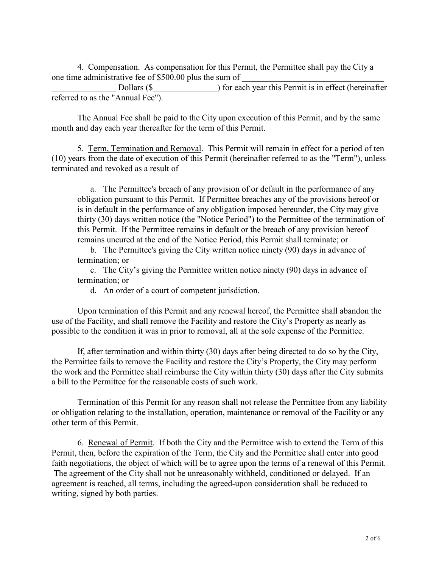4. Compensation. As compensation for this Permit, the Permittee shall pay the City a one time administrative fee of \$500.00 plus the sum of

Dollars (\$ ) for each year this Permit is in effect (hereinafter referred to as the "Annual Fee").

The Annual Fee shall be paid to the City upon execution of this Permit, and by the same month and day each year thereafter for the term of this Permit.

 5. Term, Termination and Removal. This Permit will remain in effect for a period of ten (10) years from the date of execution of this Permit (hereinafter referred to as the "Term"), unless terminated and revoked as a result of

a. The Permittee's breach of any provision of or default in the performance of any obligation pursuant to this Permit. If Permittee breaches any of the provisions hereof or is in default in the performance of any obligation imposed hereunder, the City may give thirty (30) days written notice (the "Notice Period") to the Permittee of the termination of this Permit. If the Permittee remains in default or the breach of any provision hereof remains uncured at the end of the Notice Period, this Permit shall terminate; or

b. The Permittee's giving the City written notice ninety (90) days in advance of termination; or

c. The City's giving the Permittee written notice ninety (90) days in advance of termination; or

d. An order of a court of competent jurisdiction.

Upon termination of this Permit and any renewal hereof, the Permittee shall abandon the use of the Facility, and shall remove the Facility and restore the City's Property as nearly as possible to the condition it was in prior to removal, all at the sole expense of the Permittee.

If, after termination and within thirty (30) days after being directed to do so by the City, the Permittee fails to remove the Facility and restore the City's Property, the City may perform the work and the Permittee shall reimburse the City within thirty (30) days after the City submits a bill to the Permittee for the reasonable costs of such work.

Termination of this Permit for any reason shall not release the Permittee from any liability or obligation relating to the installation, operation, maintenance or removal of the Facility or any other term of this Permit.

 6. Renewal of Permit. If both the City and the Permittee wish to extend the Term of this Permit, then, before the expiration of the Term, the City and the Permittee shall enter into good faith negotiations, the object of which will be to agree upon the terms of a renewal of this Permit. The agreement of the City shall not be unreasonably withheld, conditioned or delayed. If an agreement is reached, all terms, including the agreed-upon consideration shall be reduced to writing, signed by both parties.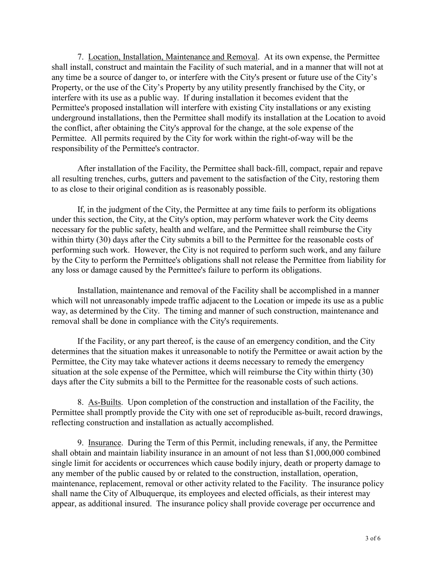7. Location, Installation, Maintenance and Removal. At its own expense, the Permittee shall install, construct and maintain the Facility of such material, and in a manner that will not at any time be a source of danger to, or interfere with the City's present or future use of the City's Property, or the use of the City's Property by any utility presently franchised by the City, or interfere with its use as a public way. If during installation it becomes evident that the Permittee's proposed installation will interfere with existing City installations or any existing underground installations, then the Permittee shall modify its installation at the Location to avoid the conflict, after obtaining the City's approval for the change, at the sole expense of the Permittee. All permits required by the City for work within the right-of-way will be the responsibility of the Permittee's contractor.

After installation of the Facility, the Permittee shall back-fill, compact, repair and repave all resulting trenches, curbs, gutters and pavement to the satisfaction of the City, restoring them to as close to their original condition as is reasonably possible.

If, in the judgment of the City, the Permittee at any time fails to perform its obligations under this section, the City, at the City's option, may perform whatever work the City deems necessary for the public safety, health and welfare, and the Permittee shall reimburse the City within thirty (30) days after the City submits a bill to the Permittee for the reasonable costs of performing such work. However, the City is not required to perform such work, and any failure by the City to perform the Permittee's obligations shall not release the Permittee from liability for any loss or damage caused by the Permittee's failure to perform its obligations.

Installation, maintenance and removal of the Facility shall be accomplished in a manner which will not unreasonably impede traffic adjacent to the Location or impede its use as a public way, as determined by the City. The timing and manner of such construction, maintenance and removal shall be done in compliance with the City's requirements.

 If the Facility, or any part thereof, is the cause of an emergency condition, and the City determines that the situation makes it unreasonable to notify the Permittee or await action by the Permittee, the City may take whatever actions it deems necessary to remedy the emergency situation at the sole expense of the Permittee, which will reimburse the City within thirty (30) days after the City submits a bill to the Permittee for the reasonable costs of such actions.

8. As-Builts. Upon completion of the construction and installation of the Facility, the Permittee shall promptly provide the City with one set of reproducible as-built, record drawings, reflecting construction and installation as actually accomplished.

9. Insurance. During the Term of this Permit, including renewals, if any, the Permittee shall obtain and maintain liability insurance in an amount of not less than \$1,000,000 combined single limit for accidents or occurrences which cause bodily injury, death or property damage to any member of the public caused by or related to the construction, installation, operation, maintenance, replacement, removal or other activity related to the Facility. The insurance policy shall name the City of Albuquerque, its employees and elected officials, as their interest may appear, as additional insured. The insurance policy shall provide coverage per occurrence and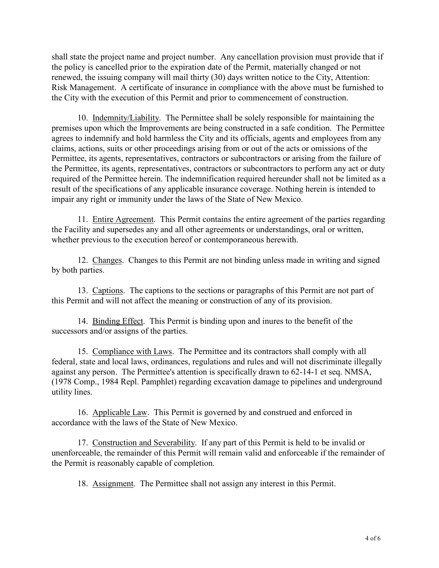shall state the project name and project number. Any cancellation provision must provide that if the policy is cancelled prior to the expiration date of the Permit, materially changed or not renewed, the issuing company will mail thirty (30) days written notice to the City, Attention: Risk Management. A certificate of insurance in compliance with the above must be furnished to the City with the execution of this Permit and prior to commencement of construction.

10. Indemnity/Liability. The Permittee shall be solely responsible for maintaining the premises upon which the Improvements are being constructed in a safe condition. The Permittee agrees to indemnify and hold harmless the City and its officials, agents and employees from any claims, actions, suits or other proceedings arising from or out of the acts or omissions of the Permittee, its agents, representatives, contractors or subcontractors or arising from the failure of the Permittee, its agents, representatives, contractors or subcontractors to perform any act or duty required of the Permittee herein. The indemnification required hereunder shall not be limited as a result of the specifications of any applicable insurance coverage. Nothing herein is intended to impair any right or immunity under the laws of the State of New Mexico.

11. Entire Agreement. This Permit contains the entire agreement of the parties regarding the Facility and supersedes any and all other agreements or understandings, oral or written, whether previous to the execution hereof or contemporaneous herewith.

12. Changes. Changes to this Permit are not binding unless made in writing and signed by both parties.

13. Captions. The captions to the sections or paragraphs of this Permit are not part of this Permit and will not affect the meaning or construction of any of its provision.

14. Binding Effect. This Permit is binding upon and inures to the benefit of the successors and/or assigns of the parties.

15. Compliance with Laws. The Permittee and its contractors shall comply with all federal, state and local laws, ordinances, regulations and rules and will not discriminate illegally against any person. The Permittee's attention is specifically drawn to 62-14-1 et seq. NMSA, (1978 Comp., 1984 Repl. Pamphlet) regarding excavation damage to pipelines and underground utility lines.

16. Applicable Law. This Permit is governed by and construed and enforced in accordance with the laws of the State of New Mexico.

17. Construction and Severability. If any part of this Permit is held to be invalid or unenforceable, the remainder of this Permit will remain valid and enforceable if the remainder of the Permit is reasonably capable of completion.

18. Assignment. The Permittee shall not assign any interest in this Permit.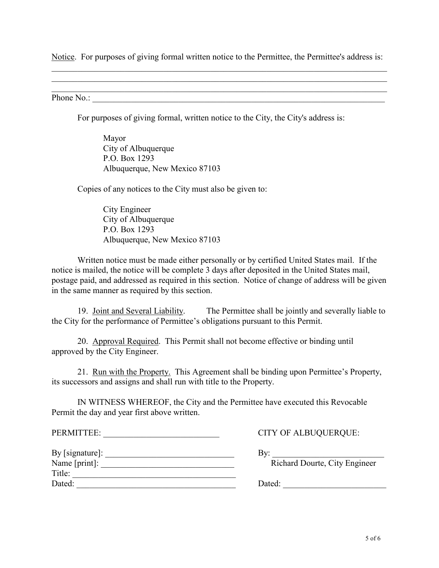Notice. For purposes of giving formal written notice to the Permittee, the Permittee's address is: \_\_\_\_\_\_\_\_\_\_\_\_\_\_\_\_\_\_\_\_\_\_\_\_\_\_\_\_\_\_\_\_\_\_\_\_\_\_\_\_\_\_\_\_\_\_\_\_\_\_\_\_\_\_\_\_\_\_\_\_\_\_\_\_\_\_\_\_\_\_\_\_\_\_\_\_\_\_

 $\_$  , and the contribution of the contribution of the contribution of the contribution of  $\mathcal{L}_\text{max}$  $\_$  , and the set of the set of the set of the set of the set of the set of the set of the set of the set of the set of the set of the set of the set of the set of the set of the set of the set of the set of the set of th

Phone No.: \_\_\_\_\_\_\_\_\_\_\_\_\_\_\_\_\_\_\_\_\_\_\_\_\_\_\_\_\_\_\_\_\_\_\_\_\_\_\_\_\_\_\_\_\_\_\_\_\_\_\_\_\_\_\_\_\_\_\_\_\_\_\_\_\_\_\_\_

For purposes of giving formal, written notice to the City, the City's address is:

 Mayor City of Albuquerque P.O. Box 1293 Albuquerque, New Mexico 87103

Copies of any notices to the City must also be given to:

 City Engineer City of Albuquerque P.O. Box 1293 Albuquerque, New Mexico 87103

Written notice must be made either personally or by certified United States mail. If the notice is mailed, the notice will be complete 3 days after deposited in the United States mail, postage paid, and addressed as required in this section. Notice of change of address will be given in the same manner as required by this section.

19. Joint and Several Liability. The Permittee shall be jointly and severally liable to the City for the performance of Permittee's obligations pursuant to this Permit.

20. Approval Required. This Permit shall not become effective or binding until approved by the City Engineer.

21. Run with the Property. This Agreement shall be binding upon Permittee's Property, its successors and assigns and shall run with title to the Property.

IN WITNESS WHEREOF, the City and the Permittee have executed this Revocable Permit the day and year first above written.

| PERMITTEE:       | <b>CITY OF ALBUQUERQUE:</b>   |
|------------------|-------------------------------|
| By [signature]:  | Bv:                           |
| Name $[print]$ : | Richard Dourte, City Engineer |
| Title:           |                               |
| Dated:           | Dated:                        |
|                  |                               |